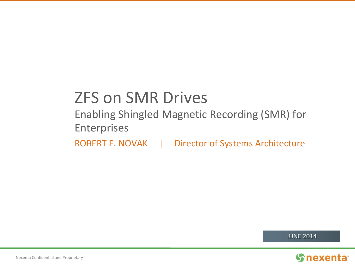# ZFS on SMR Drives

Enabling Shingled Magnetic Recording (SMR) for Enterprises

ROBERT E. NOVAK | Director of Systems Architecture

JUNE 2014

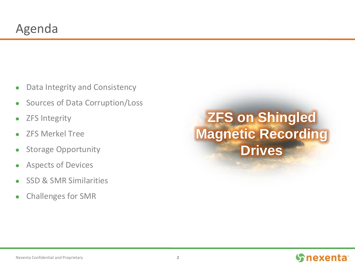- Data Integrity and Consistency
- Sources of Data Corruption/Loss
- ZFS Integrity
- ZFS Merkel Tree
- Storage Opportunity
- Aspects of Devices
- SSD & SMR Similarities
- Challenges for SMR

# **ZFS on Shingled Magnetic Recording Drives**

#### *S* nexenta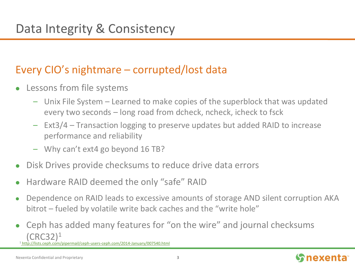#### Every CIO's nightmare – corrupted/lost data

- Lessons from file systems
	- Unix File System Learned to make copies of the superblock that was updated every two seconds – long road from dcheck, ncheck, icheck to fsck
	- Ext3/4 Transaction logging to preserve updates but added RAID to increase performance and reliability
	- Why can't ext4 go beyond 16 TB?
- Disk Drives provide checksums to reduce drive data errors
- Hardware RAID deemed the only "safe" RAID
- Dependence on RAID leads to excessive amounts of storage AND silent corruption AKA bitrot – fueled by volatile write back caches and the "write hole"
- Ceph has added many features for "on the wire" and journal checksums  $(CRC32)^1$

/lists.ceph.com/pipermail/ceph-users-ceph.com/2014-January/007540.html

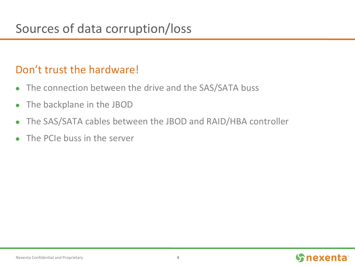#### Don't trust the hardware!

- The connection between the drive and the SAS/SATA buss
- The backplane in the JBOD
- The SAS/SATA cables between the JBOD and RAID/HBA controller
- The PCIe buss in the server

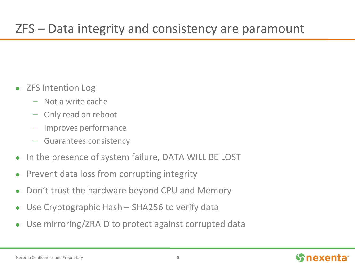## ZFS – Data integrity and consistency are paramount

- ZFS Intention Log
	- Not a write cache
	- Only read on reboot
	- Improves performance
	- Guarantees consistency
- In the presence of system failure, DATA WILL BE LOST
- Prevent data loss from corrupting integrity
- Don't trust the hardware beyond CPU and Memory
- Use Cryptographic Hash SHA256 to verify data
- Use mirroring/ZRAID to protect against corrupted data

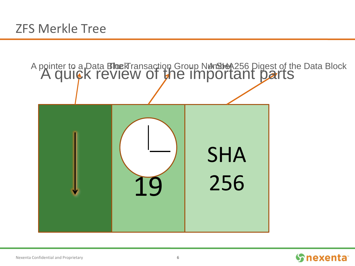

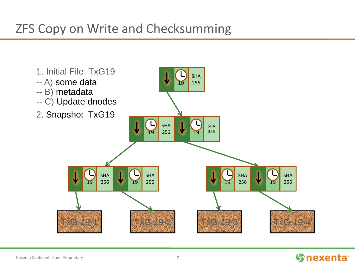## ZFS Copy on Write and Checksumming



#### **Snexenta**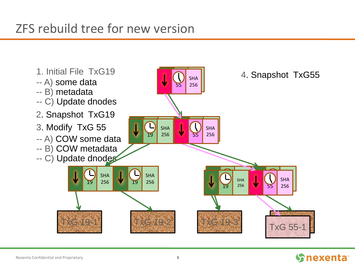#### ZFS rebuild tree for new version



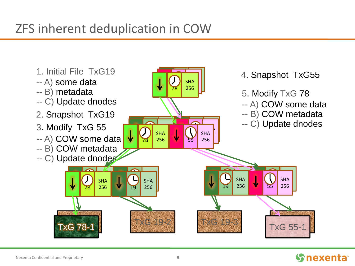## ZFS inherent deduplication in COW



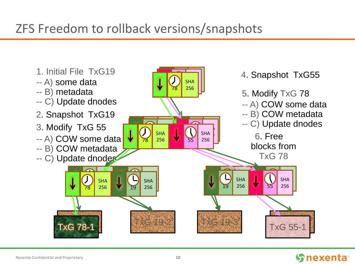## ZFS Freedom to rollback versions/snapshots



#### **S**nexenta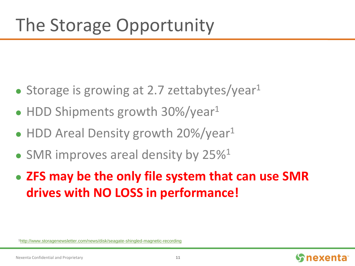- Storage is growing at 2.7 zettabytes/year $1$
- HDD Shipments growth 30%/year<sup>1</sup>
- HDD Areal Density growth 20%/year<sup>1</sup>
- SMR improves areal density by  $25\%$ <sup>1</sup>
- **ZFS may be the only file system that can use SMR drives with NO LOSS in performance!**

1<http://www.storagenewsletter.com/news/disk/seagate-shingled-magnetic-recording>

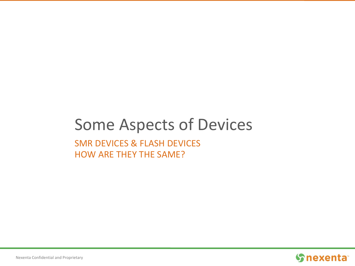## Some Aspects of Devices SMR DEVICES & FLASH DEVICES

HOW ARE THEY THE SAME?

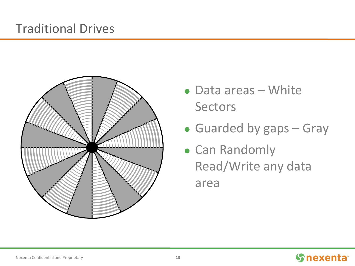#### Traditional Drives



- Data areas White Sectors
- Guarded by gaps Gray
- Can Randomly Read/Write any data area

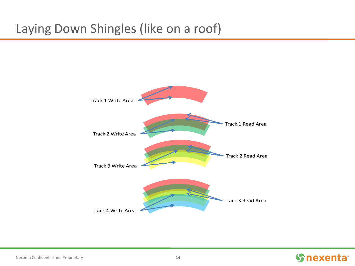### Laying Down Shingles (like on a roof)



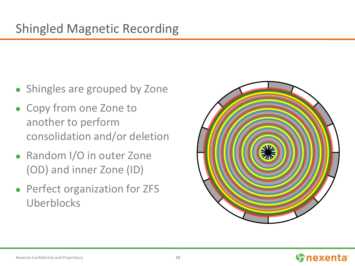- Shingles are grouped by Zone
- Copy from one Zone to another to perform consolidation and/or deletion
- Random I/O in outer Zone (OD) and inner Zone (ID)
- Perfect organization for ZFS Uberblocks



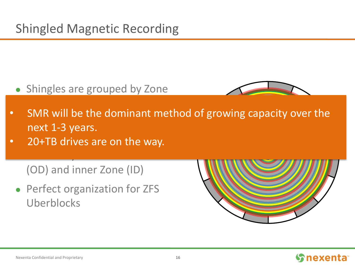• Shingles are grouped by Zone



- SMR will he the domina novt 1-3 voars • SMR will be the dominant method of growing capacity over the next 1-3 years.
- 20+TR drives are on the way • 20+TB drives are on the way.

(OD) and inner Zone (ID)

Random I/O in outer Zone

• Perfect organization for ZFS Uberblocks

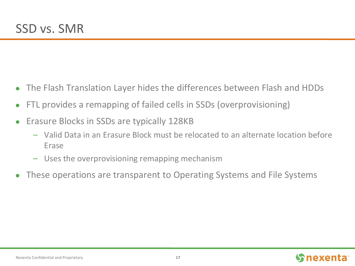- The Flash Translation Layer hides the differences between Flash and HDDs
- FTL provides a remapping of failed cells in SSDs (overprovisioning)
- Erasure Blocks in SSDs are typically 128KB
	- Valid Data in an Erasure Block must be relocated to an alternate location before Erase
	- Uses the overprovisioning remapping mechanism
- These operations are transparent to Operating Systems and File Systems

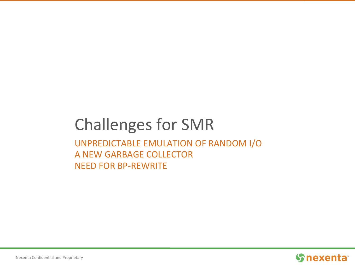#### Challenges for SMR UNPREDICTABLE EMULATION OF RANDOM I/O A NEW GARBAGE COLLECTOR NEED FOR BP-REWRITE

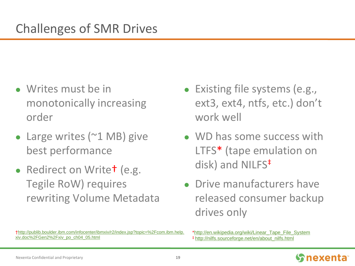- Writes must be in monotonically increasing order
- Large writes (~1 MB) give best performance
- Redirect on Write<sup>†</sup> (e.g. Tegile RoW) requires rewriting Volume Metadata
- Existing file systems (e.g., ext3, ext4, ntfs, etc.) don't work well
- WD has some success with LTFS\* (tape emulation on disk) and NILFS<sup>‡</sup>
- Drive manufacturers have released consumer backup drives only

<sup>\*</sup>[http://en.wikipedia.org/wiki/Linear\\_Tape\\_File\\_System](http://en.wikipedia.org/wiki/Linear_Tape_File_System) ‡ [http://nilfs.sourceforge.net/en/about\\_nilfs.html](http://nilfs.sourceforge.net/en/about_nilfs.html)



[<sup>†</sup>http://publib.boulder.ibm.com/infocenter/ibmxiv/r2/index.jsp?topic=%2Fcom.ibm.help.](http://publib.boulder.ibm.com/infocenter/ibmxiv/r2/index.jsp?topic=/com.ibm.help.xiv.doc/Gen2/xiv_po_ch04_05.html) xiv.doc%2FGen2%2Fxiv\_po\_ch04\_05.html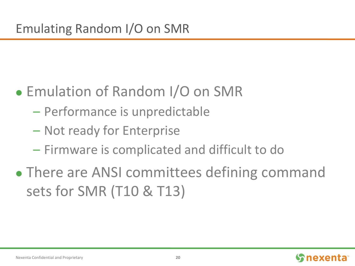- Emulation of Random I/O on SMR
	- Performance is unpredictable
	- Not ready for Enterprise
	- Firmware is complicated and difficult to do
- There are ANSI committees defining command sets for SMR (T10 & T13)

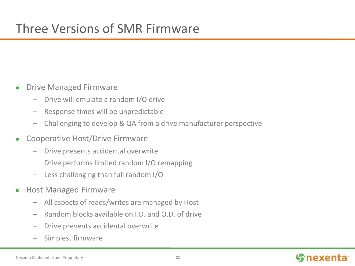- Drive Managed Firmware
	- Drive will emulate a random I/O drive
	- Response times will be unpredictable
	- Challenging to develop & QA from a drive manufacturer perspective
- Cooperative Host/Drive Firmware
	- Drive presents accidental overwrite
	- Drive performs limited random I/O remapping
	- Less challenging than full random I/O
- Host Managed Firmware
	- All aspects of reads/writes are managed by Host
	- Random blocks available on I.D. and O.D. of drive
	- Drive prevents accidental overwrite
	- Simplest firmware

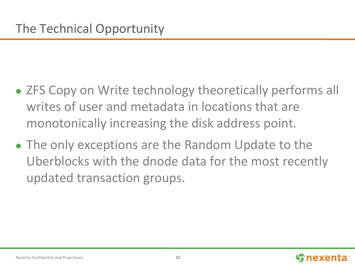- ZFS Copy on Write technology theoretically performs all writes of user and metadata in locations that are monotonically increasing the disk address point.
- The only exceptions are the Random Update to the Uberblocks with the dnode data for the most recently updated transaction groups.

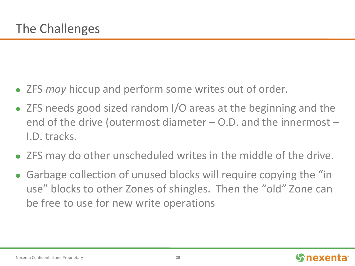- ZFS *may* hiccup and perform some writes out of order.
- ZFS needs good sized random I/O areas at the beginning and the end of the drive (outermost diameter – O.D. and the innermost – I.D. tracks.
- ZFS may do other unscheduled writes in the middle of the drive.
- Garbage collection of unused blocks will require copying the "in use" blocks to other Zones of shingles. Then the "old" Zone can be free to use for new write operations

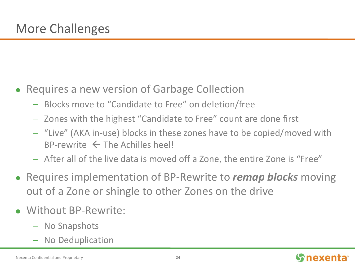- Requires a new version of Garbage Collection
	- Blocks move to "Candidate to Free" on deletion/free
	- Zones with the highest "Candidate to Free" count are done first
	- "Live" (AKA in-use) blocks in these zones have to be copied/moved with  $BP$ -rewrite  $\leftarrow$  The Achilles heel!
	- After all of the live data is moved off a Zone, the entire Zone is "Free"
- Requires implementation of BP-Rewrite to *remap blocks* moving out of a Zone or shingle to other Zones on the drive
- Without BP-Rewrite:
	- No Snapshots
	- No Deduplication

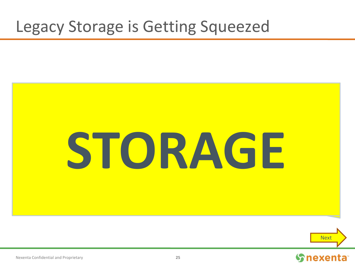# Legacy Storage is Getting Squeezed





**S**nexenta

#### Nexenta Confidential and Proprietary **25**